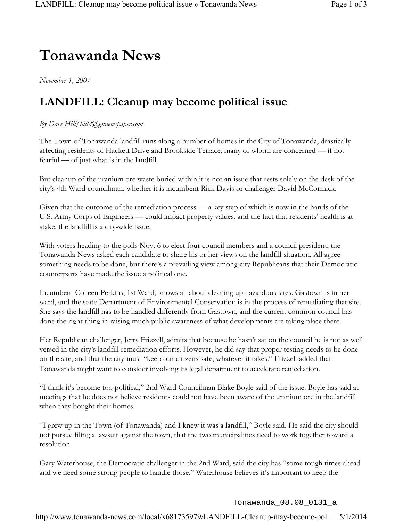## **Tonawanda News**

*November 1, 2007*

## **LANDFILL: Cleanup may become political issue**

## *By Dave Hill/hilld@gnnewspaper.com*

The Town of Tonawanda landfill runs along a number of homes in the City of Tonawanda, drastically affecting residents of Hackett Drive and Brookside Terrace, many of whom are concerned — if not fearful — of just what is in the landfill.

But cleanup of the uranium ore waste buried within it is not an issue that rests solely on the desk of the city's 4th Ward councilman, whether it is incumbent Rick Davis or challenger David McCormick.

Given that the outcome of the remediation process — a key step of which is now in the hands of the U.S. Army Corps of Engineers — could impact property values, and the fact that residents' health is at stake, the landfill is a city-wide issue.

With voters heading to the polls Nov. 6 to elect four council members and a council president, the Tonawanda News asked each candidate to share his or her views on the landfill situation. All agree something needs to be done, but there's a prevailing view among city Republicans that their Democratic counterparts have made the issue a political one.

Incumbent Colleen Perkins, 1st Ward, knows all about cleaning up hazardous sites. Gastown is in her ward, and the state Department of Environmental Conservation is in the process of remediating that site. She says the landfill has to be handled differently from Gastown, and the current common council has done the right thing in raising much public awareness of what developments are taking place there.

Her Republican challenger, Jerry Frizzell, admits that because he hasn't sat on the council he is not as well versed in the city's landfill remediation efforts. However, he did say that proper testing needs to be done on the site, and that the city must "keep our citizens safe, whatever it takes." Frizzell added that Tonawanda might want to consider involving its legal department to accelerate remediation.

"I think it's become too political," 2nd Ward Councilman Blake Boyle said of the issue. Boyle has said at meetings that he does not believe residents could not have been aware of the uranium ore in the landfill when they bought their homes.

"I grew up in the Town (of Tonawanda) and I knew it was a landfill," Boyle said. He said the city should not pursue filing a lawsuit against the town, that the two municipalities need to work together toward a resolution.

Gary Waterhouse, the Democratic challenger in the 2nd Ward, said the city has "some tough times ahead and we need some strong people to handle those." Waterhouse believes it's important to keep the

Tonawanda\_08.08\_0131\_a

http://www.tonawanda-news.com/local/x681735979/LANDFILL-Cleanup-may-become-pol... 5/1/2014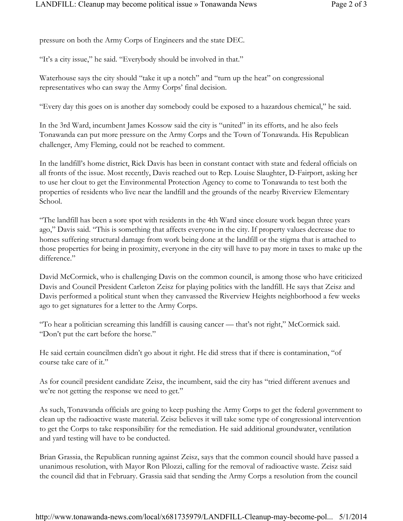pressure on both the Army Corps of Engineers and the state DEC.

"It's a city issue," he said. "Everybody should be involved in that."

Waterhouse says the city should "take it up a notch" and "turn up the heat" on congressional representatives who can sway the Army Corps' final decision.

"Every day this goes on is another day somebody could be exposed to a hazardous chemical," he said.

In the 3rd Ward, incumbent James Kossow said the city is "united" in its efforts, and he also feels Tonawanda can put more pressure on the Army Corps and the Town of Tonawanda. His Republican challenger, Amy Fleming, could not be reached to comment.

In the landfill's home district, Rick Davis has been in constant contact with state and federal officials on all fronts of the issue. Most recently, Davis reached out to Rep. Louise Slaughter, D-Fairport, asking her to use her clout to get the Environmental Protection Agency to come to Tonawanda to test both the properties of residents who live near the landfill and the grounds of the nearby Riverview Elementary School.

"The landfill has been a sore spot with residents in the 4th Ward since closure work began three years ago," Davis said. "This is something that affects everyone in the city. If property values decrease due to homes suffering structural damage from work being done at the landfill or the stigma that is attached to those properties for being in proximity, everyone in the city will have to pay more in taxes to make up the difference."

David McCormick, who is challenging Davis on the common council, is among those who have criticized Davis and Council President Carleton Zeisz for playing politics with the landfill. He says that Zeisz and Davis performed a political stunt when they canvassed the Riverview Heights neighborhood a few weeks ago to get signatures for a letter to the Army Corps.

"To hear a politician screaming this landfill is causing cancer — that's not right," McCormick said. "Don't put the cart before the horse."

He said certain councilmen didn't go about it right. He did stress that if there is contamination, "of course take care of it."

As for council president candidate Zeisz, the incumbent, said the city has "tried different avenues and we're not getting the response we need to get."

As such, Tonawanda officials are going to keep pushing the Army Corps to get the federal government to clean up the radioactive waste material. Zeisz believes it will take some type of congressional intervention to get the Corps to take responsibility for the remediation. He said additional groundwater, ventilation and yard testing will have to be conducted.

Brian Grassia, the Republican running against Zeisz, says that the common council should have passed a unanimous resolution, with Mayor Ron Pilozzi, calling for the removal of radioactive waste. Zeisz said the council did that in February. Grassia said that sending the Army Corps a resolution from the council